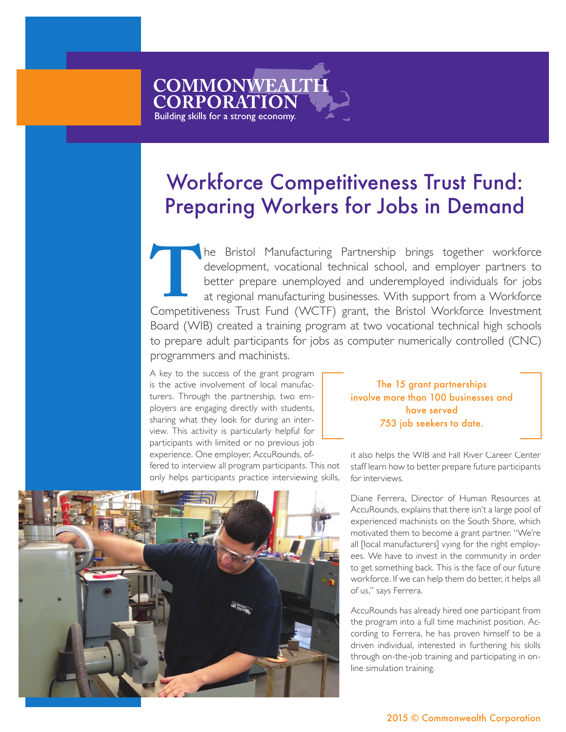## Workforce Competitiveness Trust Fund: Preparing Workers for Jobs in Demand

he Bristol Manufacturing Partnership brings together workforce development, vocational technical school, and employer partners to better prepare unemployed and underemployed individuals for jobs at regional manufacturing businesses. With support from a Workforce Competitiveness Trust Fund (WCTF) grant, the Bristol Workforce Investment Board (WIB) created a training program at two vocational technical high schools to prepare adult participants for jobs as computer numerically controlled (CNC) programmers and machinists. **THE**<br>Competitive<br>Record (11/1)

A key to the success of the grant program is the active involvement of local manufacturers. Through the partnership, two employers are engaging directly with students, sharing what they look for during an interview. This activity is particularly helpful for participants with limited or no previous job experience. One employer, AccuRounds, offered to interview all program participants. This not only helps participants practice interviewing skills,

**COMMONWEALTH** 

**CORPORATION** Building skills for a strong economy.

> The 15 grant partnerships involve more than 100 businesses and have served 753 job seekers to date.

it also helps the WIB and Fall River Career Center staff learn how to better prepare future participants

for interviews. Diane Ferrera, Director of Human Resources at AccuRounds, explains that there isn't a large pool of experienced machinists on the South Shore, which motivated them to become a grant partner. "We're all [local manufacturers] vying for the right employees. We have to invest in the community in order to get something back. This is the face of our future workforce. If we can help them do better, it helps all of us," says Ferrera. AccuRounds has already hired one participant from the program into a full time machinist position. According to Ferrera, he has proven himself to be a driven individual, interested in furthering his skills



2015 © Commonwealth Corporation

through on-the-job training and participating in on-

line simulation training.